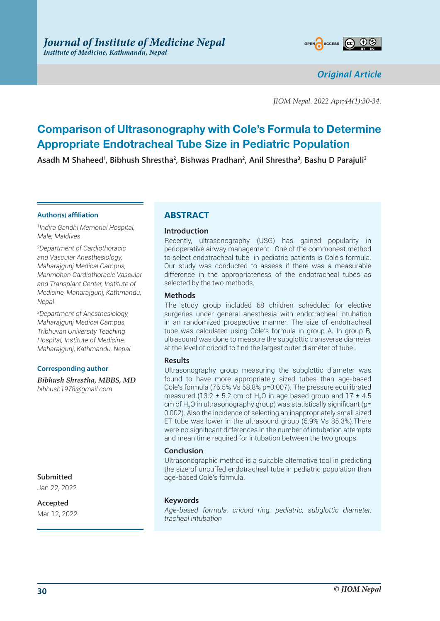

*Original Article*

*JIOM Nepal. 2022 Apr;44(1):30-34.*

# **Comparison of Ultrasonography with Cole's Formula to Determine Appropriate Endotracheal Tube Size in Pediatric Population**

**Asadh M Shaheed1 , Bibhush Shrestha2 , Bishwas Pradhan2 , Anil Shrestha3 , Bashu D Parajuli3**

#### **Author(s) affiliation**

*1 Indira Gandhi Memorial Hospital, Male, Maldives* 

*2 Department of Cardiothoracic and Vascular Anesthesiology, Maharajgunj Medical Campus, Manmohan Cardiothoracic Vascular and Transplant Center, Institute of Medicine, Maharajgunj, Kathmandu, Nepal*

*3 Department of Anesthesiology, Maharajgunj Medical Campus, Tribhuvan University Teaching Hospital, Institute of Medicine, Maharajgunj, Kathmandu, Nepal*

#### **Corresponding author**

*Bibhush Shrestha, MBBS, MD bibhush1978@gmail.com*

**Submitted**

Jan 22, 2022

**Accepted** Mar 12, 2022

# **ABSTRACT**

#### **Introduction**

Recently, ultrasonography (USG) has gained popularity in perioperative airway management . One of the commonest method to select endotracheal tube in pediatric patients is Cole's formula. Our study was conducted to assess if there was a measurable difference in the appropriateness of the endotracheal tubes as selected by the two methods.

#### **Methods**

The study group included 68 children scheduled for elective surgeries under general anesthesia with endotracheal intubation in an randomized prospective manner. The size of endotracheal tube was calculated using Cole's formula in group A. In group B, ultrasound was done to measure the subglottic transverse diameter at the level of cricoid to find the largest outer diameter of tube .

#### **Results**

Ultrasonography group measuring the subglottic diameter was found to have more appropriately sized tubes than age-based Cole's formula (76.5% Vs 58.8% p=0.007). The pressure equilibrated measured (13.2  $\pm$  5.2 cm of H<sub>2</sub>O in age based group and 17  $\pm$  4.5 cm of H<sub>2</sub>O in ultrasonography group) was statistically significant (p= 0.002). Also the incidence of selecting an inappropriately small sized ET tube was lower in the ultrasound group (5.9% Vs 35.3%).There were no significant differences in the number of intubation attempts and mean time required for intubation between the two groups.

#### **Conclusion**

Ultrasonographic method is a suitable alternative tool in predicting the size of uncuffed endotracheal tube in pediatric population than age-based Cole's formula.

#### **Keywords**

*Age-based formula, cricoid ring, pediatric, subglottic diameter, tracheal intubation*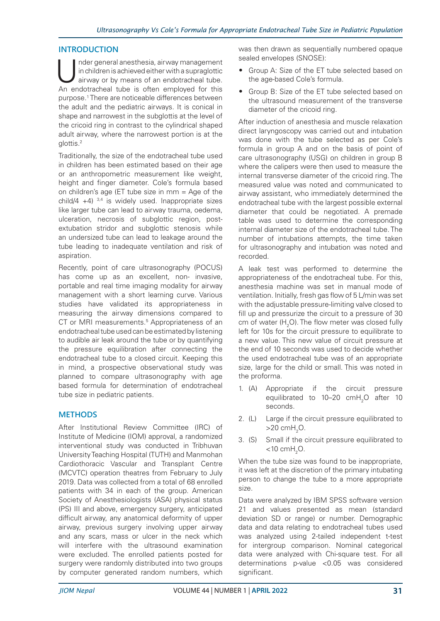#### **INTRODUCTION**

Inder general anesthesia, airway management<br>
in children is achieved either with a supraglottic<br>
airway or by means of an endotracheal tube.<br>
An endotracheal tube is often employed for this in children is achieved either with a supraglottic An endotracheal tube is often employed for this purpose.1 There are noticeable differences between the adult and the pediatric airways. It is conical in shape and narrowest in the subglottis at the level of the cricoid ring in contrast to the cylindrical shaped adult airway, where the narrowest portion is at the glottis.2

Traditionally, the size of the endotracheal tube used in children has been estimated based on their age or an anthropometric measurement like weight, height and finger diameter. Cole's formula based on children's age (ET tube size in mm = Age of the child/4  $+4$ )  $3,4$  is widely used. Inappropriate sizes like larger tube can lead to airway trauma, oedema, ulceration, necrosis of subglottic region, postextubation stridor and subglottic stenosis while an undersized tube can lead to leakage around the tube leading to inadequate ventilation and risk of aspiration.

Recently, point of care ultrasonography (POCUS) has come up as an excellent, non- invasive, portable and real time imaging modality for airway management with a short learning curve. Various studies have validated its appropriateness in measuring the airway dimensions compared to CT or MRI measurements.<sup>5</sup> Appropriateness of an endotracheal tube used can be estimated by listening to audible air leak around the tube or by quantifying the pressure equilibration after connecting the endotracheal tube to a closed circuit. Keeping this in mind, a prospective observational study was planned to compare ultrasonography with age based formula for determination of endotracheal tube size in pediatric patients.

#### **METHODS**

After Institutional Review Committee (IRC) of Institute of Medicine (IOM) approval, a randomized interventional study was conducted in Tribhuvan University Teaching Hospital (TUTH) and Manmohan Cardiothoracic Vascular and Transplant Centre (MCVTC) operation theatres from February to July 2019. Data was collected from a total of 68 enrolled patients with 34 in each of the group. American Society of Anesthesiologists (ASA) physical status (PS) III and above, emergency surgery, anticipated difficult airway, any anatomical deformity of upper airway, previous surgery involving upper airway and any scars, mass or ulcer in the neck which will interfere with the ultrasound examination were excluded. The enrolled patients posted for surgery were randomly distributed into two groups by computer generated random numbers, which

was then drawn as sequentially numbered opaque sealed envelopes (SNOSE):

- Group A: Size of the ET tube selected based on the age-based Cole's formula.
- Group B: Size of the ET tube selected based on the ultrasound measurement of the transverse diameter of the cricoid ring.

After induction of anesthesia and muscle relaxation direct laryngoscopy was carried out and intubation was done with the tube selected as per Cole's formula in group A and on the basis of point of care ultrasonography (USG) on children in group B where the calipers were then used to measure the internal transverse diameter of the cricoid ring. The measured value was noted and communicated to airway assistant, who immediately determined the endotracheal tube with the largest possible external diameter that could be negotiated. A premade table was used to determine the corresponding internal diameter size of the endotracheal tube. The number of intubations attempts, the time taken for ultrasonography and intubation was noted and recorded.

A leak test was performed to determine the appropriateness of the endotracheal tube. For this, anesthesia machine was set in manual mode of ventilation. Initially, fresh gas flow of 5 L/min was set with the adjustable pressure-limiting valve closed to fill up and pressurize the circuit to a pressure of 30 cm of water (H<sub>2</sub>O). The flow meter was closed fully left for 10s for the circuit pressure to equilibrate to a new value. This new value of circuit pressure at the end of 10 seconds was used to decide whether the used endotracheal tube was of an appropriate size, large for the child or small. This was noted in the proforma.

- 1. (A) Appropriate if the circuit pressure equilibrated to 10–20  $\text{cm}H_{2}$ O after 10 seconds.
- 2. (L) Large if the circuit pressure equilibrated to  $>$ 20 cmH<sub>2</sub>O.
- 3. (S) Small if the circuit pressure equilibrated to  $<$ 10 cmH<sub>2</sub>O.

When the tube size was found to be inappropriate, it was left at the discretion of the primary intubating person to change the tube to a more appropriate size.

Data were analyzed by IBM SPSS software version 21 and values presented as mean (standard deviation SD or range) or number. Demographic data and data relating to endotracheal tubes used was analyzed using 2-tailed independent t-test for intergroup comparison. Nominal categorical data were analyzed with Chi-square test. For all determinations p-value <0.05 was considered significant.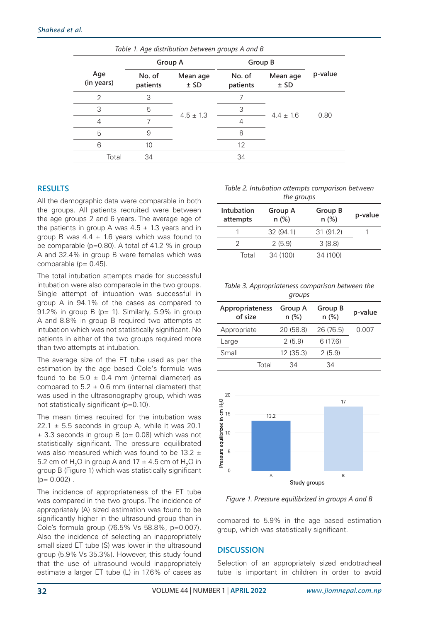| Table 1. Age distribution between groups A and B |                    |                    |                    |                  |         |  |  |  |
|--------------------------------------------------|--------------------|--------------------|--------------------|------------------|---------|--|--|--|
|                                                  | Group A            |                    | Group B            |                  |         |  |  |  |
| Age<br>(in years)                                | No. of<br>patients | Mean age<br>$±$ SD | No. of<br>patients | Mean age<br>± SD | p-value |  |  |  |
| $\mathcal{P}$                                    | 3                  |                    |                    |                  |         |  |  |  |
| 3                                                | 5                  | $4.5 \pm 1.3$      | 3                  | $4.4 \pm 1.6$    | 0.80    |  |  |  |
| 4                                                |                    |                    | 4                  |                  |         |  |  |  |
| 5                                                | 9                  |                    | 8                  |                  |         |  |  |  |
| 6                                                | 10                 |                    | 12                 |                  |         |  |  |  |
| Total                                            | 34                 |                    | 34                 |                  |         |  |  |  |

### **RESULTS**

All the demographic data were comparable in both the groups. All patients recruited were between the age groups 2 and 6 years. The average age of the patients in group A was  $4.5 \pm 1.3$  years and in group B was  $4.4 \pm 1.6$  years which was found to be comparable (p=0.80). A total of 41.2 % in group A and 32.4% in group B were females which was comparable (p= 0.45).

The total intubation attempts made for successful intubation were also comparable in the two groups. Single attempt of intubation was successful in group A in 94.1% of the cases as compared to 91.2% in group  $B$  (p= 1). Similarly, 5.9% in group A and 8.8% in group B required two attempts at intubation which was not statistically significant. No patients in either of the two groups required more than two attempts at intubation.

The average size of the ET tube used as per the estimation by the age based Cole's formula was found to be  $5.0 \pm 0.4$  mm (internal diameter) as compared to  $5.2 \pm 0.6$  mm (internal diameter) that was used in the ultrasonography group, which was not statistically significant (p=0.10).

The mean times required for the intubation was 22.1  $\pm$  5.5 seconds in group A, while it was 20.1  $\pm$  3.3 seconds in group B (p= 0.08) which was not statistically significant. The pressure equilibrated was also measured which was found to be 13.2  $\pm$ 5.2 cm of  $H_2O$  in group A and 17  $\pm$  4.5 cm of  $H_2O$  in group B (Figure 1) which was statistically significant  $(p= 0.002)$ .

The incidence of appropriateness of the ET tube was compared in the two groups. The incidence of appropriately (A) sized estimation was found to be significantly higher in the ultrasound group than in Cole's formula group (76.5% Vs 58.8%, p=0.007). Also the incidence of selecting an inappropriately small sized ET tube (S) was lower in the ultrasound group (5.9% Vs 35.3%). However, this study found that the use of ultrasound would inappropriately estimate a larger ET tube (L) in 17.6% of cases as

*Table 2. Intubation attempts comparison between the groups*

| Intubation<br>attempts | Group A<br>$n$ (%) | Group B<br>$n$ (%) | p-value |
|------------------------|--------------------|--------------------|---------|
|                        | 32(94.1)           | 31(91.2)           |         |
|                        | 2(5.9)             | 3(8.8)             |         |
| Total                  | 34 (100)           | 34 (100)           |         |

*Table 3. Appropriateness comparison between the groups*

| Appropriateness<br>of size | Group A<br>$n$ (%) | Group B<br>$n$ (%) | p-value |
|----------------------------|--------------------|--------------------|---------|
| Appropriate                | 20 (58.8)          | 26 (76.5)          | 0.007   |
| Large                      | 2(5.9)             | 6(17.6)            |         |
| Small                      | 12(35.3)           | 2(5.9)             |         |
| Total                      | 34                 | 34                 |         |



*Figure 1. Pressure equilibrized in groups A and B*

compared to 5.9% in the age based estimation group, which was statistically significant.

# **DISCUSSION**

Selection of an appropriately sized endotracheal tube is important in children in order to avoid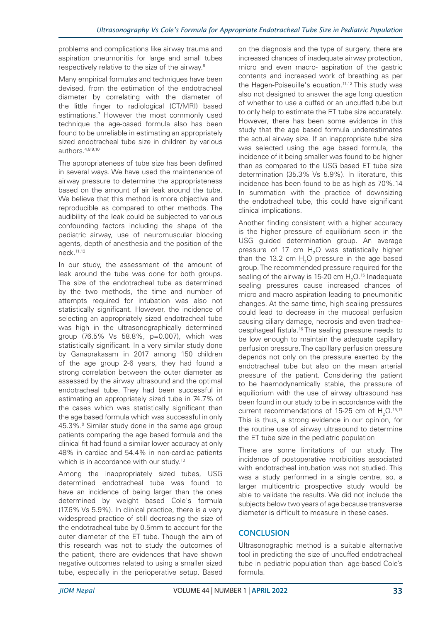problems and complications like airway trauma and aspiration pneumonitis for large and small tubes respectively relative to the size of the airway.6

Many empirical formulas and techniques have been devised, from the estimation of the endotracheal diameter by correlating with the diameter of the little finger to radiological (CT/MRI) based estimations.7 However the most commonly used technique the age-based formula also has been found to be unreliable in estimating an appropriately sized endotracheal tube size in children by various authors.4,8,9,10

The appropriateness of tube size has been defined in several ways. We have used the maintenance of airway pressure to determine the appropriateness based on the amount of air leak around the tube. We believe that this method is more objective and reproducible as compared to other methods. The audibility of the leak could be subjected to various confounding factors including the shape of the pediatric airway, use of neuromuscular blocking agents, depth of anesthesia and the position of the neck.11,12

In our study, the assessment of the amount of leak around the tube was done for both groups. The size of the endotracheal tube as determined by the two methods, the time and number of attempts required for intubation was also not statistically significant. However, the incidence of selecting an appropriately sized endotracheal tube was high in the ultrasonographically determined group (76.5% Vs 58.8%, p=0.007), which was statistically significant. In a very similar study done by Ganaprakasam in 2017 among 150 children of the age group 2-6 years, they had found a strong correlation between the outer diameter as assessed by the airway ultrasound and the optimal endotracheal tube. They had been successful in estimating an appropriately sized tube in 74.7% of the cases which was statistically significant than the age based formula which was successful in only 45.3%.<sup>9</sup> Similar study done in the same age group patients comparing the age based formula and the clinical fit had found a similar lower accuracy at only 48% in cardiac and 54.4% in non-cardiac patients which is in accordance with our study.<sup>13</sup>

Among the inappropriately sized tubes, USG determined endotracheal tube was found to have an incidence of being larger than the ones determined by weight based Cole's formula (17.6% Vs 5.9%). In clinical practice, there is a very widespread practice of still decreasing the size of the endotracheal tube by 0.5mm to account for the outer diameter of the ET tube. Though the aim of this research was not to study the outcomes of the patient, there are evidences that have shown negative outcomes related to using a smaller sized tube, especially in the perioperative setup. Based

on the diagnosis and the type of surgery, there are increased chances of inadequate airway protection, micro and even macro- aspiration of the gastric contents and increased work of breathing as per the Hagen-Poiseuille's equation.<sup>11,12</sup> This study was also not designed to answer the age long question of whether to use a cuffed or an uncuffed tube but to only help to estimate the ET tube size accurately. However, there has been some evidence in this study that the age based formula underestimates the actual airway size. If an inappropriate tube size was selected using the age based formula, the incidence of it being smaller was found to be higher than as compared to the USG based ET tube size determination (35.3% Vs 5.9%). In literature, this incidence has been found to be as high as 70%.14 In summation with the practice of downsizing the endotracheal tube, this could have significant clinical implications.

Another finding consistent with a higher accuracy is the higher pressure of equilibrium seen in the USG guided determination group. An average pressure of 17 cm  $H<sub>2</sub>O$  was statistically higher than the 13.2 cm  $H_2O$  pressure in the age based group. The recommended pressure required for the sealing of the airway is 15-20 cm  $\rm H_2O$ .<sup>15</sup> Inadequate sealing pressures cause increased chances of micro and macro aspiration leading to pneumonitic changes. At the same time, high sealing pressures could lead to decrease in the mucosal perfusion causing ciliary damage, necrosis and even tracheaoesphageal fistula.<sup>16</sup> The sealing pressure needs to be low enough to maintain the adequate capillary perfusion pressure. The capillary perfusion pressure depends not only on the pressure exerted by the endotracheal tube but also on the mean arterial pressure of the patient. Considering the patient to be haemodynamically stable, the pressure of equilibrium with the use of airway ultrasound has been found in our study to be in accordance with the current recommendations of 15-25 cm of  $H_2O$ .<sup>15,17</sup> This is thus, a strong evidence in our opinion, for the routine use of airway ultrasound to determine the ET tube size in the pediatric population

There are some limitations of our study. The incidence of postoperative morbidities associated with endotracheal intubation was not studied. This was a study performed in a single centre, so, a larger multicentric prospective study would be able to validate the results. We did not include the subjects below two years of age because transverse diameter is difficult to measure in these cases.

# **CONCLUSION**

Ultrasonographic method is a suitable alternative tool in predicting the size of uncuffed endotracheal tube in pediatric population than age-based Cole's formula.